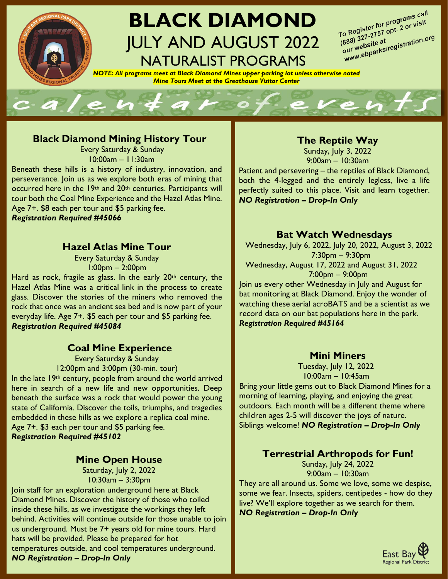

# **BLACK DIAMOND** JULY AND AUGUST 2022 NATURALIST PROGRAMS

To Register for programs call<br>To Register for programs call<br>To 88\ 327-2757 opt. 2 (190.0) To Register for programs can<br>(888) 327-2757 opt. 2 or visit<br>(888) 327-2757 opt. 2 or visit o Registe:<br>888) 327-2757 opt. 2<br>our website at<br>www.ebparks/registration.org<br>www.ebparks/registration.org  $\frac{(888)^{327-215}}{(888)^{327-215}}$ <br>our website at

*NOTE: All programs meet at Black Diamond Mines upper parking lot unless otherwise noted Mine Tours Meet at the Greathouse Visitor Center*



#### **Black Diamond Mining History Tour**

Every Saturday & Sunday 10:00am – 11:30am

Beneath these hills is a history of industry, innovation, and perseverance. Join us as we explore both eras of mining that occurred here in the 19<sup>th</sup> and 20<sup>th</sup> centuries. Participants will tour both the Coal Mine Experience and the Hazel Atlas Mine. Age 7+. \$8 each per tour and \$5 parking fee. *Registration Required #45066*

#### **Hazel Atlas Mine Tour**

Every Saturday & Sunday 1:00pm – 2:00pm

Hard as rock, fragile as glass. In the early  $20<sup>th</sup>$  century, the Hazel Atlas Mine was a critical link in the process to create glass. Discover the stories of the miners who removed the rock that once was an ancient sea bed and is now part of your everyday life. Age 7+. \$5 each per tour and \$5 parking fee. *Registration Required #45084*

### **Coal Mine Experience**

Every Saturday & Sunday 12:00pm and 3:00pm (30-min. tour)

In the late 19th century, people from around the world arrived here in search of a new life and new opportunities. Deep beneath the surface was a rock that would power the young state of California. Discover the toils, triumphs, and tragedies embedded in these hills as we explore a replica coal mine. Age 7+. \$3 each per tour and \$5 parking fee. *Registration Required #45102*

#### **Mine Open House**

Saturday, July 2, 2022 10:30am – 3:30pm

Join staff for an exploration underground here at Black Diamond Mines. Discover the history of those who toiled inside these hills, as we investigate the workings they left behind. Activities will continue outside for those unable to join us underground. Must be 7+ years old for mine tours. Hard hats will be provided. Please be prepared for hot temperatures outside, and cool temperatures underground. *NO Registration – Drop-In Only*

### **The Reptile Way**

Sunday, July 3, 2022 9:00am – 10:30am

Patient and persevering – the reptiles of Black Diamond, both the 4-legged and the entirely legless, live a life perfectly suited to this place. Visit and learn together. *NO Registration – Drop-In Only*

#### **Bat Watch Wednesdays**

Wednesday, July 6, 2022, July 20, 2022, August 3, 2022 7:30pm – 9:30pm Wednesday, August 17, 2022 and August 31, 2022 7:00pm – 9:00pm

Join us every other Wednesday in July and August for bat monitoring at Black Diamond. Enjoy the wonder of watching these aerial acroBATS and be a scientist as we record data on our bat populations here in the park. *Registration Required #45164*

#### **Mini Miners**

Tuesday, July 12, 2022 10:00am – 10:45am

Bring your little gems out to Black Diamond Mines for a morning of learning, playing, and enjoying the great outdoors. Each month will be a different theme where children ages 2-5 will discover the joys of nature. Siblings welcome! *NO Registration – Drop-In Only*

### **Terrestrial Arthropods for Fun!**

Sunday, July 24, 2022 9:00am – 10:30am

They are all around us. Some we love, some we despise, some we fear. Insects, spiders, centipedes - how do they live? We'll explore together as we search for them. *NO Registration – Drop***-***In Only*

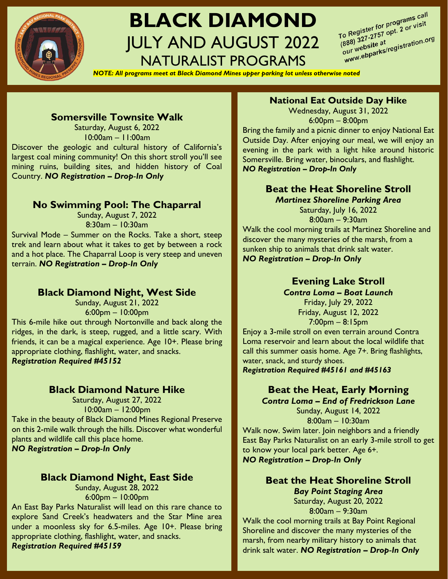

# **BLACK DIAMOND** JULY AND AUGUST 2022 NATURALIST PROGRAMS

To Register for programs call<br>To Register for programs call<br>To 32, 327-2757 opt. 2 or old of To Register for programs can<br>(888) 327-2757 opt. 2 or visit<br>(888) 327-2757 opt. 2 or visit o Registo:<br>888) 327-2757 opt. 2<br>our website at<br>our webparks/registration.org<br>www.ebparks/registration.org  $(888)$  327-215<br>our website at<br>our webparks

*NOTE: All programs meet at Black Diamond Mines upper parking lot unless otherwise noted*

#### **Somersville Townsite Walk**

Saturday, August 6, 2022 10:00am – 11:00am Discover the geologic and cultural history of California's largest coal mining community! On this short stroll you'll see mining ruins, building sites, and hidden history of Coal Country. *NO Registration – Drop*-*In Only*

#### **No Swimming Pool: The Chaparral**

Sunday, August 7, 2022 8:30am – 10:30am

Survival Mode – Summer on the Rocks. Take a short, steep trek and learn about what it takes to get by between a rock and a hot place. The Chaparral Loop is very steep and uneven terrain. *NO Registration – Drop*-*In Only*

#### **Black Diamond Night, West Side**

Sunday, August 21, 2022 6:00pm – 10:00pm This 6-mile hike out through Nortonville and back along the ridges, in the dark, is steep, rugged, and a little scary. With friends, it can be a magical experience. Age 10+. Please bring appropriate clothing, flashlight, water, and snacks. *Registration Required #45152*

#### **Black Diamond Nature Hike**

Saturday, August 27, 2022 10:00am – 12:00pm Take in the beauty of Black Diamond Mines Regional Preserve on this 2-mile walk through the hills. Discover what wonderful plants and wildlife call this place home. *NO Registration – Drop*-*In Only*

#### **Black Diamond Night, East Side**

Sunday, August 28, 2022 6:00pm – 10:00pm

An East Bay Parks Naturalist will lead on this rare chance to explore Sand Creek's headwaters and the Star Mine area under a moonless sky for 6.5-miles. Age 10+. Please bring appropriate clothing, flashlight, water, and snacks. *Registration Required #45159*

### **National Eat Outside Day Hike**

Wednesday, August 31, 2022 6:00pm – 8:00pm Bring the family and a picnic dinner to enjoy National Eat

Outside Day. After enjoying our meal, we will enjoy an evening in the park with a light hike around historic Somersville. Bring water, binoculars, and flashlight. *NO Registration – Drop-In Only*

#### **Beat the Heat Shoreline Stroll** *Martinez Shoreline Parking Area*

Saturday, July 16, 2022 8:00am – 9:30am Walk the cool morning trails at Martinez Shoreline and discover the many mysteries of the marsh, from a sunken ship to animals that drink salt water. *NO Registration – Drop*-*In Only*

# **Evening Lake Stroll**

*Contra Loma – Boat Launch* Friday, July 29, 2022 Friday, August 12, 2022 7:00pm – 8:15pm

Enjoy a 3-mile stroll on even terrain around Contra Loma reservoir and learn about the local wildlife that call this summer oasis home. Age 7+. Bring flashlights, water, snack, and sturdy shoes. *Registration Required #45161 and #45163*

## **Beat the Heat, Early Morning**

*Contra Loma – End of Fredrickson Lane* Sunday, August 14, 2022 8:00am – 10:30am Walk now. Swim later. Join neighbors and a friendly East Bay Parks Naturalist on an early 3-mile stroll to get to know your local park better. Age 6+.

*NO Registration – Drop*-*In Only*

**Beat the Heat Shoreline Stroll** *Bay Point Staging Area* Saturday, August 20, 2022 8:00am – 9:30am

Walk the cool morning trails at Bay Point Regional Shoreline and discover the many mysteries of the marsh, from nearby military history to animals that drink salt water. *NO Registration – Drop*-*In Only*